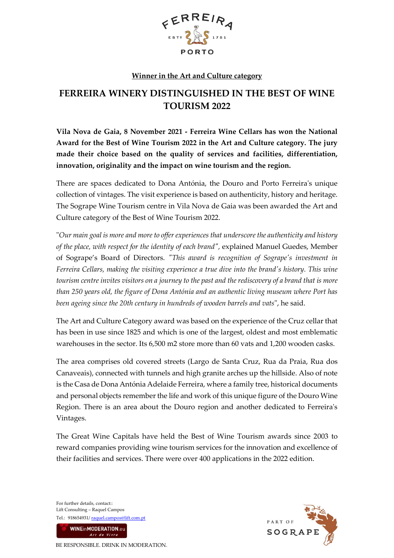

## **Winner in the Art and Culture category**

## **FERREIRA WINERY DISTINGUISHED IN THE BEST OF WINE TOURISM 2022**

**Vila Nova de Gaia, 8 November 2021 - Ferreira Wine Cellars has won the National Award for the Best of Wine Tourism 2022 in the Art and Culture category. The jury made their choice based on the quality of services and facilities, differentiation, innovation, originality and the impact on wine tourism and the region.** 

There are spaces dedicated to Dona Antónia, the Douro and Porto Ferreira's unique collection of vintages. The visit experience is based on authenticity, history and heritage. The Sogrape Wine Tourism centre in Vila Nova de Gaia was been awarded the Art and Culture category of the Best of Wine Tourism 2022.

"*Our main goal is more and more to offer experiences that underscore the authenticity and history of the place, with respect for the identity of each brand",* explained Manuel Guedes, Member of Sogrape's Board of Directors. *"This award is recognition of Sogrape's investment in Ferreira Cellars, making the visiting experience a true dive into the brand's history. This wine tourism centre invites visitors on a journey to the past and the rediscovery of a brand that is more than 250 years old, the figure of Dona Antónia and an authentic living museum where Port has been ageing since the 20th century in hundreds of wooden barrels and vats*", he said.

The Art and Culture Category award was based on the experience of the Cruz cellar that has been in use since 1825 and which is one of the largest, oldest and most emblematic warehouses in the sector. Its 6,500 m2 store more than 60 vats and 1,200 wooden casks.

The area comprises old covered streets (Largo de Santa Cruz, Rua da Praia, Rua dos Canaveais), connected with tunnels and high granite arches up the hillside. Also of note is the Casa de Dona Antónia Adelaide Ferreira, where a family tree, historical documents and personal objects remember the life and work of this unique figure of the Douro Wine Region. There is an area about the Douro region and another dedicated to Ferreira's Vintages.

The Great Wine Capitals have held the Best of Wine Tourism awards since 2003 to reward companies providing wine tourism services for the innovation and excellence of their facilities and services. There were over 400 applications in the 2022 edition.

For further details, contact:: Lift Consulting – Raquel Campos Tel.: 918654931[/ raquel.campos@lift.com.pt](mailto:raquel.campos@lift.com.pt)

**WINEinMODERATION.eu** Art de Vivre



BE RESPONSIBLE. DRINK IN MODERATION.